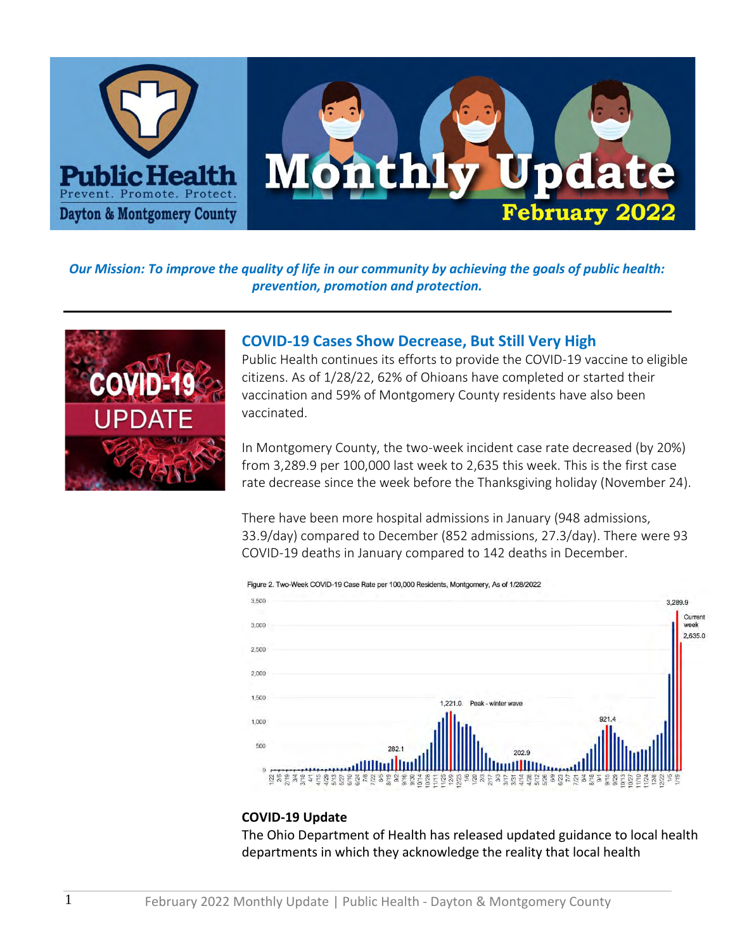

### *Our Mission: To improve the quality of life in our community by achieving the goals of public health: prevention, promotion and protection.*



## **COVID-19 Cases Show Decrease, But Still Very High**

Public Health continues its efforts to provide the COVID-19 vaccine to eligible citizens. As of 1/28/22, 62% of Ohioans have completed or started their vaccination and 59% of Montgomery County residents have also been vaccinated.

In Montgomery County, the two-week incident case rate decreased (by 20%) from 3,289.9 per 100,000 last week to 2,635 this week. This is the first case rate decrease since the week before the Thanksgiving holiday (November 24).

There have been more hospital admissions in January (948 admissions, 33.9/day) compared to December (852 admissions, 27.3/day). There were 93 COVID-19 deaths in January compared to 142 deaths in December.



#### Figure 2. Two-Week COVID-19 Case Rate per 100,000 Residents, Montgomery, As of 1/28/2022

#### **COVID-19 Update**

The Ohio Department of Health has released updated guidance to local health departments in which they acknowledge the reality that local health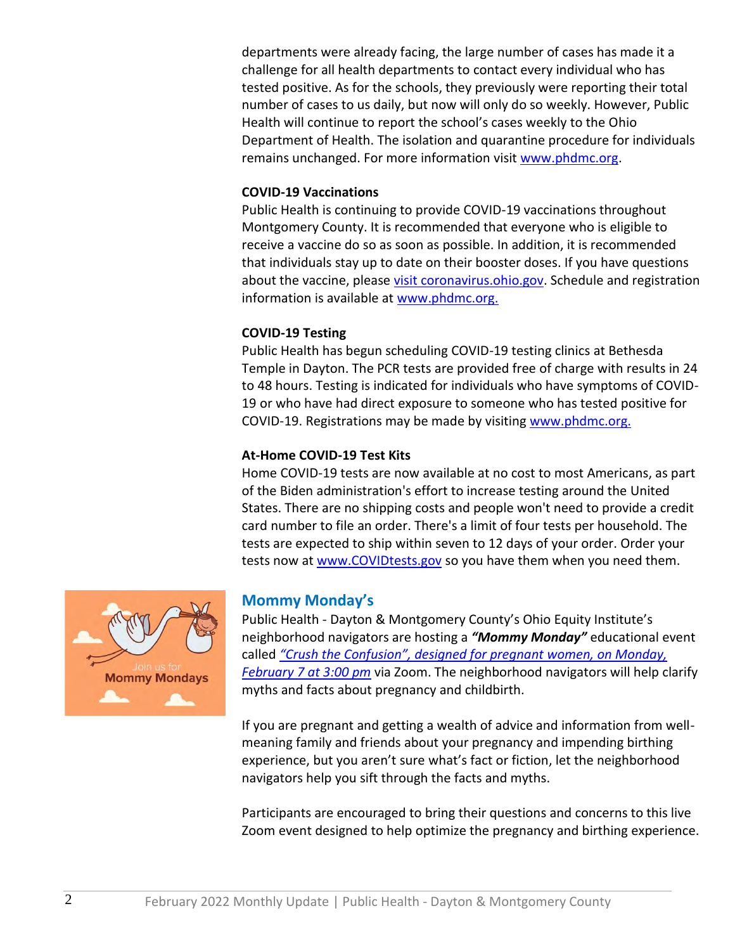departments were already facing, the large number of cases has made it a challenge for all health departments to contact every individual who has tested positive. As for the schools, they previously were reporting their total number of cases to us daily, but now will only do so weekly. However, Public Health will continue to report the school's cases weekly to the Ohio Department of Health. The isolation and quarantine procedure for individuals remains unchanged. For more information visit [www.phdmc.org.](https://nam10.safelinks.protection.outlook.com/?url=http%3A%2F%2Fwww.phdmc.org%2F&data=04%7C01%7Cjsteele%40phdmc.org%7Cf2add5469c754d7f0af408d9e273b206%7Cefedc9042baf4ad68c0ec0e87981f768%7C0%7C0%7C637789808797882744%7CUnknown%7CTWFpbGZsb3d8eyJWIjoiMC4wLjAwMDAiLCJQIjoiV2luMzIiLCJBTiI6Ik1haWwiLCJXVCI6Mn0%3D%7C3000&sdata=r4FyPzF2gd5ojzS0z0z2OG6fOSn4dGxTSuZF%2FK0qsbI%3D&reserved=0)

#### **COVID-19 Vaccinations**

Public Health is continuing to provide COVID-19 vaccinations throughout Montgomery County. It is recommended that everyone who is eligible to receive a vaccine do so as soon as possible. In addition, it is recommended that individuals stay up to date on their booster doses. If you have questions about the vaccine, please [visit coronavirus.ohio.gov.](https://nam10.safelinks.protection.outlook.com/?url=https%3A%2F%2Fcoronavirus.ohio.gov%2Fwps%2Fportal%2Fgov%2Fcovid-19%2Fcovid-19-vaccination-program%2Fcovid-19-vaccine-myths-vs-facts%2Fcovid-19-vaccine-myths-vs-facts&data=04%7C01%7Cjsteele%40phdmc.org%7Cf2add5469c754d7f0af408d9e273b206%7Cefedc9042baf4ad68c0ec0e87981f768%7C0%7C0%7C637789808797882744%7CUnknown%7CTWFpbGZsb3d8eyJWIjoiMC4wLjAwMDAiLCJQIjoiV2luMzIiLCJBTiI6Ik1haWwiLCJXVCI6Mn0%3D%7C3000&sdata=eYBpg0EwQYL1SE%2BmBD7JpA%2F%2FwMTkpVYX1LHD3haK5Ts%3D&reserved=0) Schedule and registration information is available at [www.phdmc.org.](https://nam10.safelinks.protection.outlook.com/?url=https%3A%2F%2Fpublichealthdmc-my.sharepoint.com%2Fpersonal%2Fdsuffoletto_phdmc_org%2FDocuments%2F2022%2FMonthly%2520Update%2Fwww.phdmc.org.&data=04%7C01%7Cjsteele%40phdmc.org%7Cf2add5469c754d7f0af408d9e273b206%7Cefedc9042baf4ad68c0ec0e87981f768%7C0%7C0%7C637789808797882744%7CUnknown%7CTWFpbGZsb3d8eyJWIjoiMC4wLjAwMDAiLCJQIjoiV2luMzIiLCJBTiI6Ik1haWwiLCJXVCI6Mn0%3D%7C3000&sdata=Lo2V8kPvpuybHWU6CjfZDmSzVTwZc6y0r91RCUtGLXk%3D&reserved=0)

#### **COVID-19 Testing**

Public Health has begun scheduling COVID-19 testing clinics at Bethesda Temple in Dayton. The PCR tests are provided free of charge with results in 24 to 48 hours. Testing is indicated for individuals who have symptoms of COVID-19 or who have had direct exposure to someone who has tested positive for COVID-19. Registrations may be made by visiting [www.phdmc.org.](https://nam10.safelinks.protection.outlook.com/?url=https%3A%2F%2Fpublichealthdmc-my.sharepoint.com%2Fpersonal%2Fdsuffoletto_phdmc_org%2FDocuments%2F2022%2FMonthly%2520Update%2Fwww.phdmc.org.&data=04%7C01%7Cjsteele%40phdmc.org%7Cf2add5469c754d7f0af408d9e273b206%7Cefedc9042baf4ad68c0ec0e87981f768%7C0%7C0%7C637789808797882744%7CUnknown%7CTWFpbGZsb3d8eyJWIjoiMC4wLjAwMDAiLCJQIjoiV2luMzIiLCJBTiI6Ik1haWwiLCJXVCI6Mn0%3D%7C3000&sdata=Lo2V8kPvpuybHWU6CjfZDmSzVTwZc6y0r91RCUtGLXk%3D&reserved=0)

#### **At-Home COVID-19 Test Kits**

Home COVID-19 tests are now available at no cost to most Americans, as part of the Biden administration's effort to increase testing around the United States. There are no shipping costs and people won't need to provide a credit card number to file an order. There's a limit of four tests per household. The tests are expected to ship within seven to 12 days of your order. Order your tests now at [www.COVIDtests.gov](https://nam10.safelinks.protection.outlook.com/?url=http%3A%2F%2Fwww.covidtests.gov%2F&data=04%7C01%7Cjsteele%40phdmc.org%7Cf2add5469c754d7f0af408d9e273b206%7Cefedc9042baf4ad68c0ec0e87981f768%7C0%7C0%7C637789808797882744%7CUnknown%7CTWFpbGZsb3d8eyJWIjoiMC4wLjAwMDAiLCJQIjoiV2luMzIiLCJBTiI6Ik1haWwiLCJXVCI6Mn0%3D%7C3000&sdata=J2I1H0q0vEIPEwdfaDhyEa4KKZXnlNXhbacI7cbe1gg%3D&reserved=0) so you have them when you need them.



## **Mommy Monday's**

Public Health - Dayton & Montgomery County's Ohio Equity Institute's neighborhood navigators are hosting a *"Mommy Monday"* educational event called *["Crush the Confusion", designed for pregnant women, on Monday,](https://nam10.safelinks.protection.outlook.com/?url=https%3A%2F%2Fwww.phdmc.org%2Fevents%2Ficalrepeat.detail%2F2022%2F02%2F07%2F427%2F30%257C31%257C33%257C43%2Fmommy-monday-crushing-confusion&data=04%7C01%7Cjsteele%40phdmc.org%7Cf2add5469c754d7f0af408d9e273b206%7Cefedc9042baf4ad68c0ec0e87981f768%7C0%7C0%7C637789808797882744%7CUnknown%7CTWFpbGZsb3d8eyJWIjoiMC4wLjAwMDAiLCJQIjoiV2luMzIiLCJBTiI6Ik1haWwiLCJXVCI6Mn0%3D%7C3000&sdata=DeLTX32GkgGtuASShF61PDBRC8foP8sJ09%2BxzAt4NUA%3D&reserved=0)  [February 7 at 3:00 pm](https://nam10.safelinks.protection.outlook.com/?url=https%3A%2F%2Fwww.phdmc.org%2Fevents%2Ficalrepeat.detail%2F2022%2F02%2F07%2F427%2F30%257C31%257C33%257C43%2Fmommy-monday-crushing-confusion&data=04%7C01%7Cjsteele%40phdmc.org%7Cf2add5469c754d7f0af408d9e273b206%7Cefedc9042baf4ad68c0ec0e87981f768%7C0%7C0%7C637789808797882744%7CUnknown%7CTWFpbGZsb3d8eyJWIjoiMC4wLjAwMDAiLCJQIjoiV2luMzIiLCJBTiI6Ik1haWwiLCJXVCI6Mn0%3D%7C3000&sdata=DeLTX32GkgGtuASShF61PDBRC8foP8sJ09%2BxzAt4NUA%3D&reserved=0)* via Zoom. The neighborhood navigators will help clarify myths and facts about pregnancy and childbirth.

If you are pregnant and getting a wealth of advice and information from wellmeaning family and friends about your pregnancy and impending birthing experience, but you aren't sure what's fact or fiction, let the neighborhood navigators help you sift through the facts and myths.

Participants are encouraged to bring their questions and concerns to this live Zoom event designed to help optimize the pregnancy and birthing experience.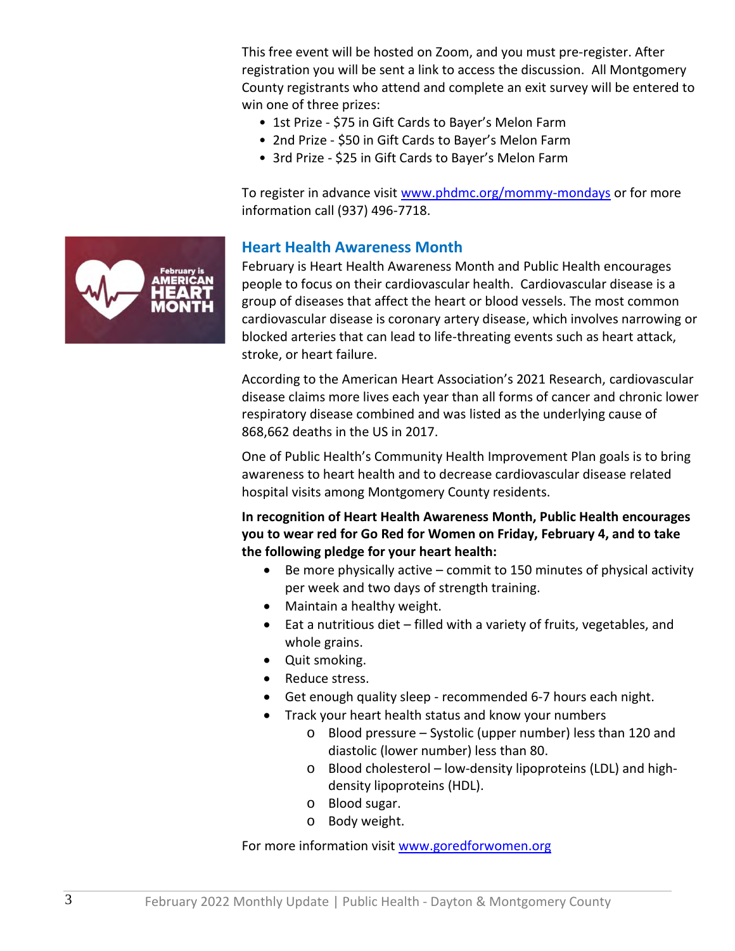This free event will be hosted on Zoom, and you must pre-register. After registration you will be sent a link to access the discussion. All Montgomery County registrants who attend and complete an exit survey will be entered to win one of three prizes:

- 1st Prize \$75 in Gift Cards to Bayer's Melon Farm
- 2nd Prize \$50 in Gift Cards to Bayer's Melon Farm
- 3rd Prize \$25 in Gift Cards to Bayer's Melon Farm

To register in advance visit [www.phdmc.org/mommy-mondays](https://nam10.safelinks.protection.outlook.com/?url=http%3A%2F%2Fwww.phdmc.org%2Fmommy-mondays&data=04%7C01%7Cjsteele%40phdmc.org%7Cf2add5469c754d7f0af408d9e273b206%7Cefedc9042baf4ad68c0ec0e87981f768%7C0%7C0%7C637789808797882744%7CUnknown%7CTWFpbGZsb3d8eyJWIjoiMC4wLjAwMDAiLCJQIjoiV2luMzIiLCJBTiI6Ik1haWwiLCJXVCI6Mn0%3D%7C3000&sdata=q6rCFVD8lDhEDICRin7rD00%2BqaJSTEsYCa3sjTtgfMA%3D&reserved=0) or for more information call (937) 496-7718.



#### **Heart Health Awareness Month**

February is Heart Health Awareness Month and Public Health encourages people to focus on their cardiovascular health. Cardiovascular disease is a group of diseases that affect the heart or blood vessels. The most common cardiovascular disease is coronary artery disease, which involves narrowing or blocked arteries that can lead to life-threating events such as heart attack, stroke, or heart failure.

According to the American Heart Association's 2021 Research, cardiovascular disease claims more lives each year than all forms of cancer and chronic lower respiratory disease combined and was listed as the underlying cause of 868,662 deaths in the US in 2017.

One of Public Health's Community Health Improvement Plan goals is to bring awareness to heart health and to decrease cardiovascular disease related hospital visits among Montgomery County residents.

#### **In recognition of Heart Health Awareness Month, Public Health encourages you to wear red for Go Red for Women on Friday, February 4, and to take the following pledge for your heart health:**

- Be more physically active commit to 150 minutes of physical activity per week and two days of strength training.
- Maintain a healthy weight.
- Eat a nutritious diet filled with a variety of fruits, vegetables, and whole grains.
- Quit smoking.
- Reduce stress.
- Get enough quality sleep recommended 6-7 hours each night.
- Track your heart health status and know your numbers
	- o Blood pressure Systolic (upper number) less than 120 and diastolic (lower number) less than 80.
	- o Blood cholesterol low-density lipoproteins (LDL) and highdensity lipoproteins (HDL).
	- o Blood sugar.
	- o Body weight.

For more information visit [www.goredforwomen.org](https://nam10.safelinks.protection.outlook.com/?url=https%3A%2F%2Fwww.goredforwomen.org%2Fen%2Fget-involved%2Fgive%2Fwear-red-and-give%3Fsc_camp%3D3F79952D21604F73A5F0EB52FF08AF2B&data=04%7C01%7Cjsteele%40phdmc.org%7Cf2add5469c754d7f0af408d9e273b206%7Cefedc9042baf4ad68c0ec0e87981f768%7C0%7C0%7C637789808797882744%7CUnknown%7CTWFpbGZsb3d8eyJWIjoiMC4wLjAwMDAiLCJQIjoiV2luMzIiLCJBTiI6Ik1haWwiLCJXVCI6Mn0%3D%7C3000&sdata=z3L1LevT3xja%2FN2rJL%2Frp7Mfd%2FuN144KD9KCSOuwebA%3D&reserved=0)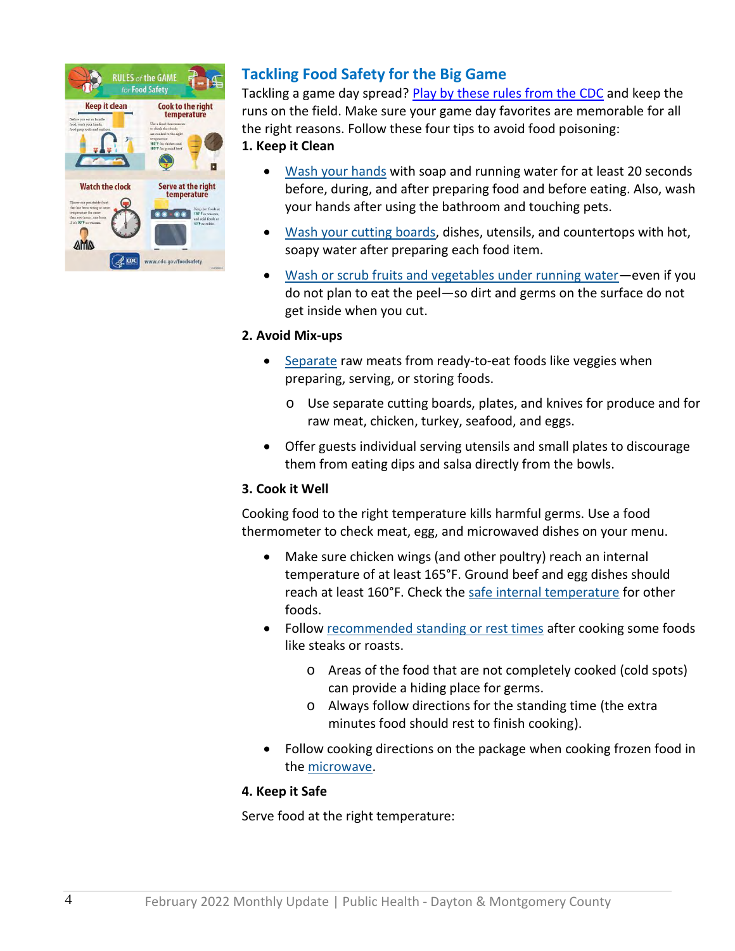

# **Tackling Food Safety for the Big Game**

Tackling a game day spread? [Play by these rules from the CDC](https://www.cdc.gov/foodsafety/communication/rules-of-game.html) and keep the runs on the field. Make sure your game day favorites are memorable for all the right reasons. Follow these four tips to avoid food poisoning:

#### **1. Keep it Clean**

- [Wash your hands](https://www.cdc.gov/handwashing/handwashing-kitchen.html) with soap and running water for at least 20 seconds before, during, and after preparing food and before eating. Also, wash your hands after using the bathroom and touching pets.
- [Wash your cutting boards,](https://www.foodsafety.gov/keep-food-safe/4-steps-to-food-safety#clean) dishes, utensils, and countertops with hot, soapy water after preparing each food item.
- [Wash or scrub fruits and vegetables under running water](https://www.cdc.gov/foodsafety/communication/steps-healthy-fruits-veggies.html)—even if you do not plan to eat the peel—so dirt and germs on the surface do not get inside when you cut.

#### **2. Avoid Mix-ups**

- [Separate](https://www.foodsafety.gov/keep-food-safe/4-steps-to-food-safety#separate) raw meats from ready-to-eat foods like veggies when preparing, serving, or storing foods.
	- o Use separate cutting boards, plates, and knives for produce and for raw meat, chicken, turkey, seafood, and eggs.
- Offer guests individual serving utensils and small plates to discourage them from eating dips and salsa directly from the bowls.

#### **3. Cook it Well**

Cooking food to the right temperature kills harmful germs. Use a food thermometer to check meat, egg, and microwaved dishes on your menu.

- Make sure chicken wings (and other poultry) reach an internal temperature of at least 165°F. Ground beef and egg dishes should reach at least 160°F. Check the [safe internal temperature](https://www.foodsafety.gov/food-safety-charts/safe-minimum-cooking-temperature) for other foods.
- Follow [recommended standing or rest times](https://www.foodsafety.gov/food-safety-charts/safe-minimum-cooking-temperature) after cooking some foods like steaks or roasts.
	- o Areas of the food that are not completely cooked (cold spots) can provide a hiding place for germs.
	- o Always follow directions for the standing time (the extra minutes food should rest to finish cooking).
- Follow cooking directions on the package when cooking frozen food in the [microwave.](https://www.fsis.usda.gov/wps/portal/fsis/topics/food-safety-education/get-answers/food-safety-fact-sheets/appliances-and-thermometers/microwave-ovens-and-food-safety/ct_index)

#### **4. Keep it Safe**

Serve food at the right temperature: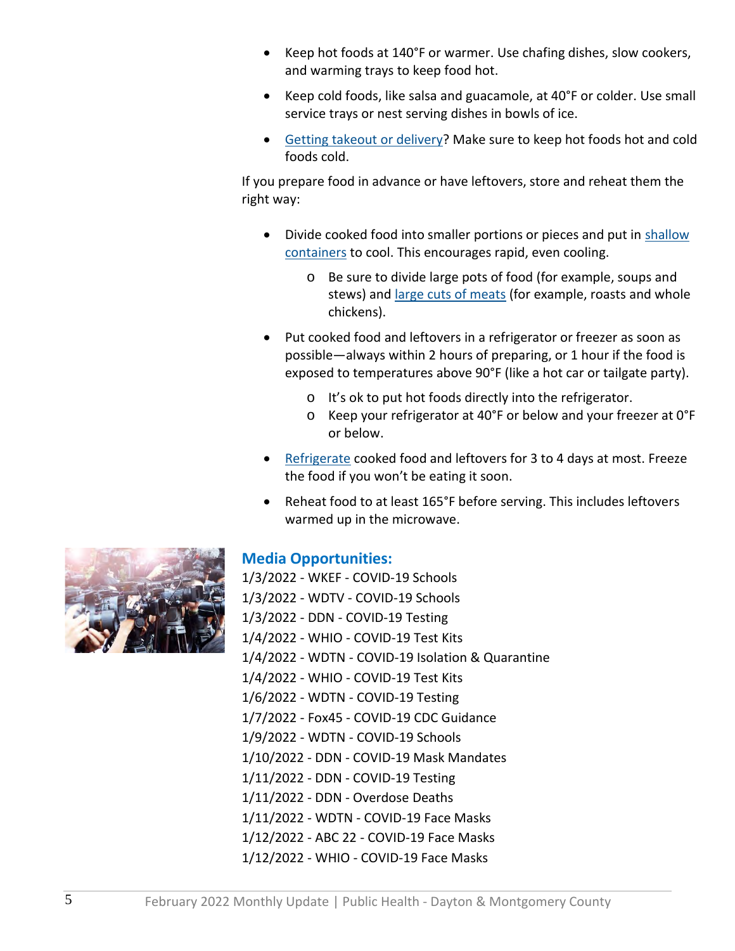- Keep hot foods at 140°F or warmer. Use chafing dishes, slow cookers, and warming trays to keep food hot.
- Keep cold foods, like salsa and guacamole, at 40°F or colder. Use small service trays or nest serving dishes in bowls of ice.
- [Getting takeout or delivery?](https://www.cdc.gov/foodsafety/communication/food-safety-meal-kits.html) Make sure to keep hot foods hot and cold foods cold.

If you prepare food in advance or have leftovers, store and reheat them the right way:

- Divide cooked food into smaller portions or pieces and put in [shallow](https://www.fsis.usda.gov/food-safety/safe-food-handling-and-preparation/food-safety-basics/leftovers-and-food-safety)  [containers](https://www.fsis.usda.gov/food-safety/safe-food-handling-and-preparation/food-safety-basics/leftovers-and-food-safety) to cool. This encourages rapid, even cooling.
	- o Be sure to divide large pots of food (for example, soups and stews) and [large cuts of meats](https://www.cdc.gov/foodsafety/diseases/clostridium-perfringens.html) (for example, roasts and whole chickens).
- Put cooked food and leftovers in a refrigerator or freezer as soon as possible—always within 2 hours of preparing, or 1 hour if the food is exposed to temperatures above 90°F (like a hot car or tailgate party).
	- o It's ok to put hot foods directly into the refrigerator.
	- o Keep your refrigerator at 40°F or below and your freezer at 0°F or below.
- [Refrigerate](https://www.foodsafety.gov/food-safety-charts/cold-food-storage-charts) cooked food and leftovers for 3 to 4 days at most. Freeze the food if you won't be eating it soon.
- Reheat food to at least 165°F before serving. This includes leftovers warmed up in the microwave.



## **Media Opportunities:**

1/3/2022 - WKEF - COVID-19 Schools 1/3/2022 - WDTV - COVID-19 Schools 1/3/2022 - DDN - COVID-19 Testing 1/4/2022 - WHIO - COVID-19 Test Kits 1/4/2022 - WDTN - COVID-19 Isolation & Quarantine 1/4/2022 - WHIO - COVID-19 Test Kits 1/6/2022 - WDTN - COVID-19 Testing 1/7/2022 - Fox45 - COVID-19 CDC Guidance 1/9/2022 - WDTN - COVID-19 Schools 1/10/2022 - DDN - COVID-19 Mask Mandates 1/11/2022 - DDN - COVID-19 Testing 1/11/2022 - DDN - Overdose Deaths 1/11/2022 - WDTN - COVID-19 Face Masks 1/12/2022 - ABC 22 - COVID-19 Face Masks 1/12/2022 - WHIO - COVID-19 Face Masks